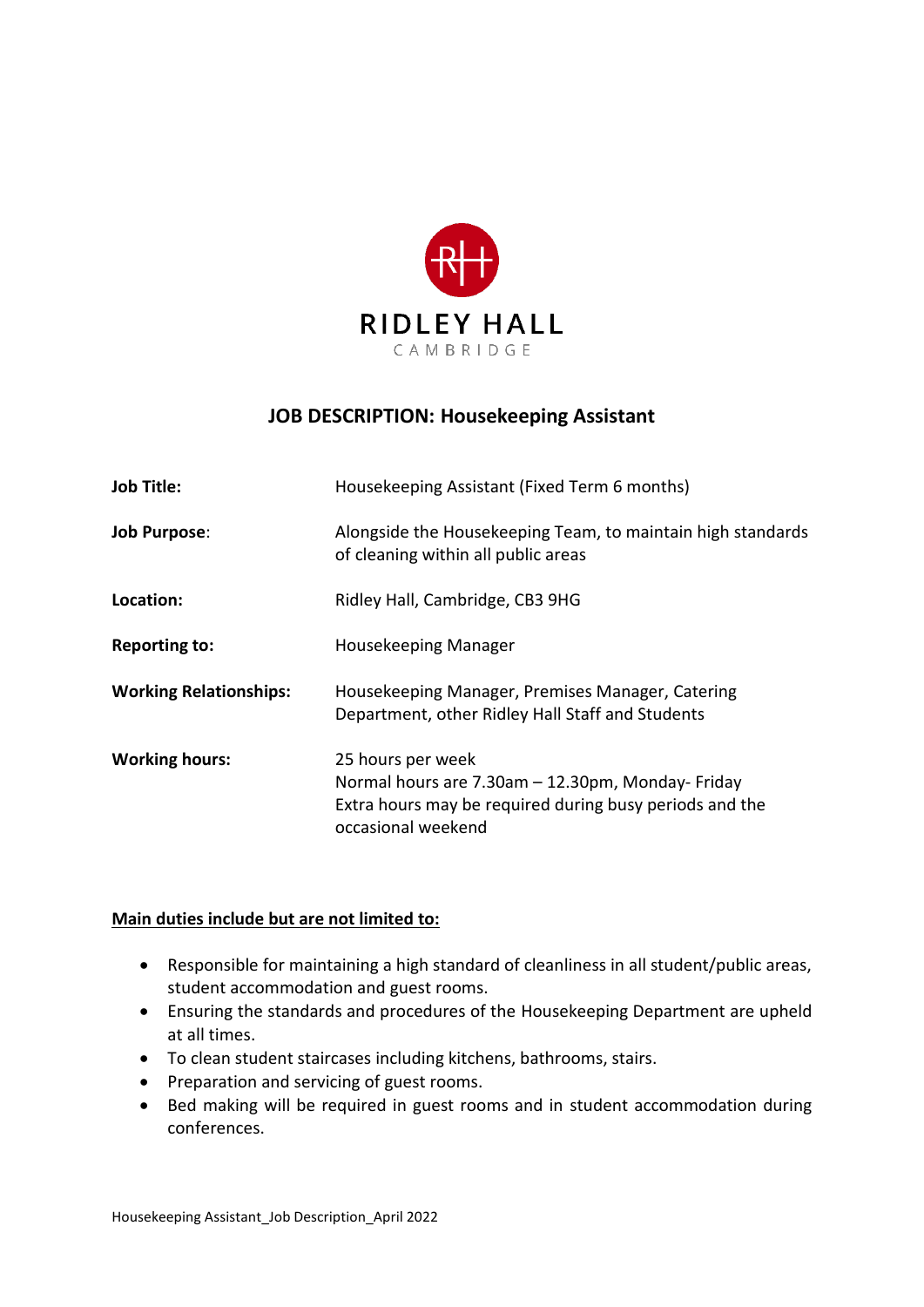

# **JOB DESCRIPTION: Housekeeping Assistant**

| <b>Job Title:</b>             | Housekeeping Assistant (Fixed Term 6 months)                                                                                                           |
|-------------------------------|--------------------------------------------------------------------------------------------------------------------------------------------------------|
| <b>Job Purpose:</b>           | Alongside the Housekeeping Team, to maintain high standards<br>of cleaning within all public areas                                                     |
| Location:                     | Ridley Hall, Cambridge, CB3 9HG                                                                                                                        |
| <b>Reporting to:</b>          | Housekeeping Manager                                                                                                                                   |
| <b>Working Relationships:</b> | Housekeeping Manager, Premises Manager, Catering<br>Department, other Ridley Hall Staff and Students                                                   |
| <b>Working hours:</b>         | 25 hours per week<br>Normal hours are 7.30am - 12.30pm, Monday-Friday<br>Extra hours may be required during busy periods and the<br>occasional weekend |

#### **Main duties include but are not limited to:**

- Responsible for maintaining a high standard of cleanliness in all student/public areas, student accommodation and guest rooms.
- Ensuring the standards and procedures of the Housekeeping Department are upheld at all times.
- To clean student staircases including kitchens, bathrooms, stairs.
- Preparation and servicing of guest rooms.
- Bed making will be required in guest rooms and in student accommodation during conferences.